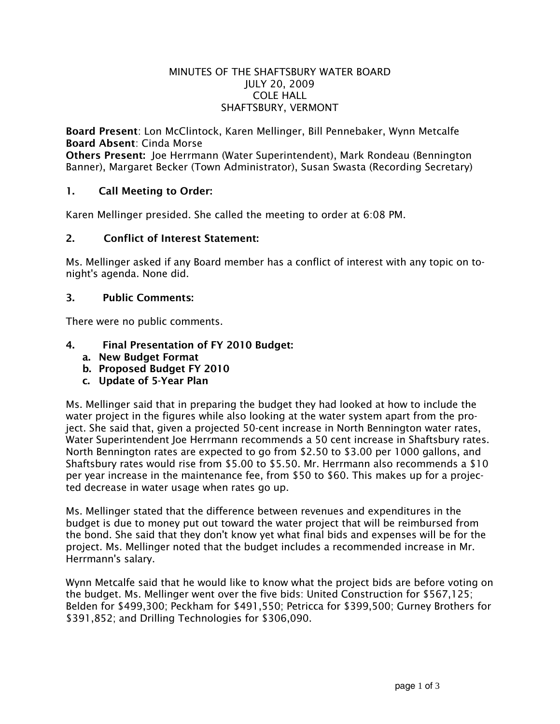#### MINUTES OF THE SHAFTSBURY WATER BOARD JULY 20, 2009 COLE HALL SHAFTSBURY, VERMONT

Board Present: Lon McClintock, Karen Mellinger, Bill Pennebaker, Wynn Metcalfe Board Absent: Cinda Morse

Others Present: Joe Herrmann (Water Superintendent), Mark Rondeau (Bennington Banner), Margaret Becker (Town Administrator), Susan Swasta (Recording Secretary)

## 1. Call Meeting to Order:

Karen Mellinger presided. She called the meeting to order at 6:08 PM.

### 2. Conflict of Interest Statement:

Ms. Mellinger asked if any Board member has a conflict of interest with any topic on tonight's agenda. None did.

### 3. Public Comments:

There were no public comments.

# 4. Final Presentation of FY 2010 Budget:

- a. New Budget Format
- b. Proposed Budget FY 2010
- c. Update of 5-Year Plan

Ms. Mellinger said that in preparing the budget they had looked at how to include the water project in the figures while also looking at the water system apart from the project. She said that, given a projected 50-cent increase in North Bennington water rates, Water Superintendent Joe Herrmann recommends a 50 cent increase in Shaftsbury rates. North Bennington rates are expected to go from \$2.50 to \$3.00 per 1000 gallons, and Shaftsbury rates would rise from \$5.00 to \$5.50. Mr. Herrmann also recommends a \$10 per year increase in the maintenance fee, from \$50 to \$60. This makes up for a projected decrease in water usage when rates go up.

Ms. Mellinger stated that the difference between revenues and expenditures in the budget is due to money put out toward the water project that will be reimbursed from the bond. She said that they don't know yet what final bids and expenses will be for the project. Ms. Mellinger noted that the budget includes a recommended increase in Mr. Herrmann's salary.

Wynn Metcalfe said that he would like to know what the project bids are before voting on the budget. Ms. Mellinger went over the five bids: United Construction for \$567,125; Belden for \$499,300; Peckham for \$491,550; Petricca for \$399,500; Gurney Brothers for \$391,852; and Drilling Technologies for \$306,090.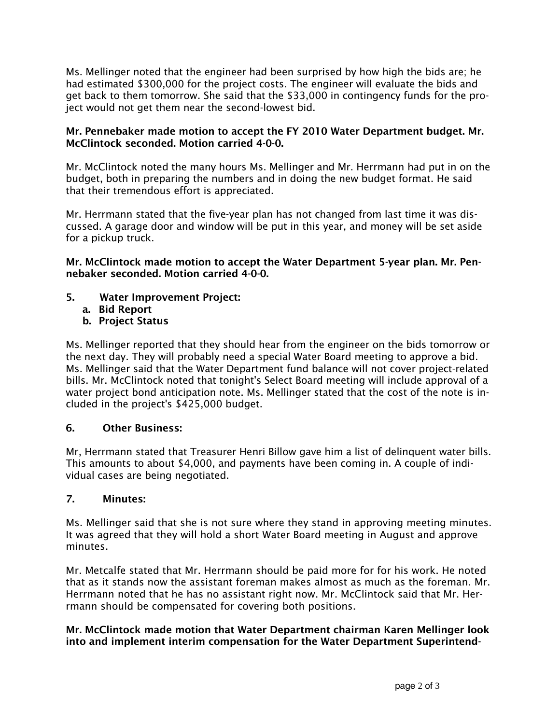Ms. Mellinger noted that the engineer had been surprised by how high the bids are; he had estimated \$300,000 for the project costs. The engineer will evaluate the bids and get back to them tomorrow. She said that the \$33,000 in contingency funds for the project would not get them near the second-lowest bid.

### Mr. Pennebaker made motion to accept the FY 2010 Water Department budget. Mr. McClintock seconded. Motion carried 4-0-0.

Mr. McClintock noted the many hours Ms. Mellinger and Mr. Herrmann had put in on the budget, both in preparing the numbers and in doing the new budget format. He said that their tremendous effort is appreciated.

Mr. Herrmann stated that the five-year plan has not changed from last time it was discussed. A garage door and window will be put in this year, and money will be set aside for a pickup truck.

Mr. McClintock made motion to accept the Water Department 5-year plan. Mr. Pennebaker seconded. Motion carried 4-0-0.

- 5. Water Improvement Project:
	- a. Bid Report
	- b. Project Status

Ms. Mellinger reported that they should hear from the engineer on the bids tomorrow or the next day. They will probably need a special Water Board meeting to approve a bid. Ms. Mellinger said that the Water Department fund balance will not cover project-related bills. Mr. McClintock noted that tonight's Select Board meeting will include approval of a water project bond anticipation note. Ms. Mellinger stated that the cost of the note is included in the project's \$425,000 budget.

## 6. Other Business:

Mr, Herrmann stated that Treasurer Henri Billow gave him a list of delinquent water bills. This amounts to about \$4,000, and payments have been coming in. A couple of individual cases are being negotiated.

## 7. Minutes:

Ms. Mellinger said that she is not sure where they stand in approving meeting minutes. It was agreed that they will hold a short Water Board meeting in August and approve minutes.

Mr. Metcalfe stated that Mr. Herrmann should be paid more for for his work. He noted that as it stands now the assistant foreman makes almost as much as the foreman. Mr. Herrmann noted that he has no assistant right now. Mr. McClintock said that Mr. Herrmann should be compensated for covering both positions.

### Mr. McClintock made motion that Water Department chairman Karen Mellinger look into and implement interim compensation for the Water Department Superintend-